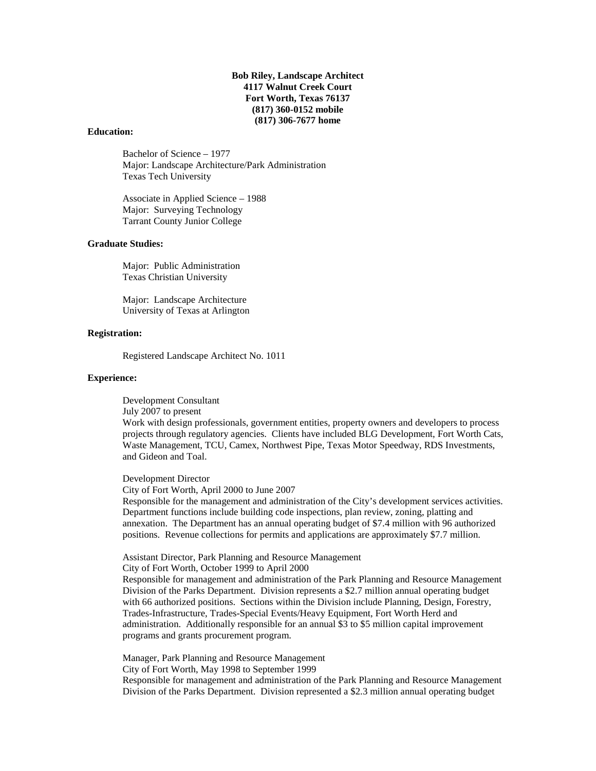**Bob Riley, Landscape Architect 4117 Walnut Creek Court Fort Worth, Texas 76137 (817) 360-0152 mobile (817) 306-7677 home**

#### **Education:**

Bachelor of Science – 1977 Major: Landscape Architecture/Park Administration Texas Tech University

Associate in Applied Science – 1988 Major: Surveying Technology Tarrant County Junior College

#### **Graduate Studies:**

Major: Public Administration Texas Christian University

Major: Landscape Architecture University of Texas at Arlington

#### **Registration:**

Registered Landscape Architect No. 1011

#### **Experience:**

Development Consultant

July 2007 to present

Work with design professionals, government entities, property owners and developers to process projects through regulatory agencies. Clients have included BLG Development, Fort Worth Cats, Waste Management, TCU, Camex, Northwest Pipe, Texas Motor Speedway, RDS Investments, and Gideon and Toal.

Development Director

City of Fort Worth, April 2000 to June 2007

Responsible for the management and administration of the City's development services activities. Department functions include building code inspections, plan review, zoning, platting and annexation. The Department has an annual operating budget of \$7.4 million with 96 authorized positions. Revenue collections for permits and applications are approximately \$7.7 million.

Assistant Director, Park Planning and Resource Management

City of Fort Worth, October 1999 to April 2000

Responsible for management and administration of the Park Planning and Resource Management Division of the Parks Department. Division represents a \$2.7 million annual operating budget with 66 authorized positions. Sections within the Division include Planning, Design, Forestry, Trades-Infrastructure, Trades-Special Events/Heavy Equipment, Fort Worth Herd and administration. Additionally responsible for an annual \$3 to \$5 million capital improvement programs and grants procurement program.

Manager, Park Planning and Resource Management City of Fort Worth, May 1998 to September 1999 Responsible for management and administration of the Park Planning and Resource Management Division of the Parks Department. Division represented a \$2.3 million annual operating budget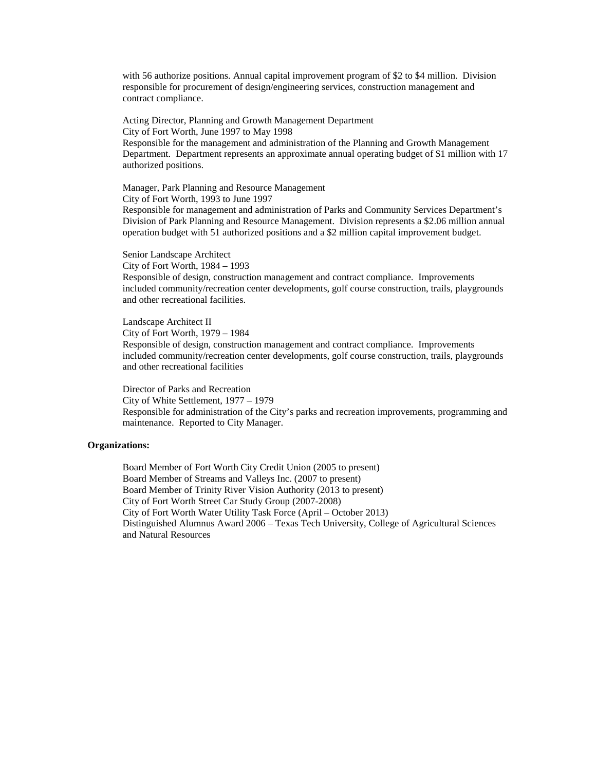with 56 authorize positions. Annual capital improvement program of \$2 to \$4 million. Division responsible for procurement of design/engineering services, construction management and contract compliance.

Acting Director, Planning and Growth Management Department City of Fort Worth, June 1997 to May 1998 Responsible for the management and administration of the Planning and Growth Management Department. Department represents an approximate annual operating budget of \$1 million with 17 authorized positions.

Manager, Park Planning and Resource Management City of Fort Worth, 1993 to June 1997 Responsible for management and administration of Parks and Community Services Department's Division of Park Planning and Resource Management. Division represents a \$2.06 million annual operation budget with 51 authorized positions and a \$2 million capital improvement budget.

Senior Landscape Architect City of Fort Worth, 1984 – 1993 Responsible of design, construction management and contract compliance. Improvements included community/recreation center developments, golf course construction, trails, playgrounds and other recreational facilities.

Landscape Architect II City of Fort Worth, 1979 – 1984 Responsible of design, construction management and contract compliance. Improvements included community/recreation center developments, golf course construction, trails, playgrounds and other recreational facilities

Director of Parks and Recreation City of White Settlement, 1977 – 1979 Responsible for administration of the City's parks and recreation improvements, programming and maintenance. Reported to City Manager.

#### **Organizations:**

Board Member of Fort Worth City Credit Union (2005 to present) Board Member of Streams and Valleys Inc. (2007 to present) Board Member of Trinity River Vision Authority (2013 to present) City of Fort Worth Street Car Study Group (2007-2008) City of Fort Worth Water Utility Task Force (April – October 2013) Distinguished Alumnus Award 2006 – Texas Tech University, College of Agricultural Sciences and Natural Resources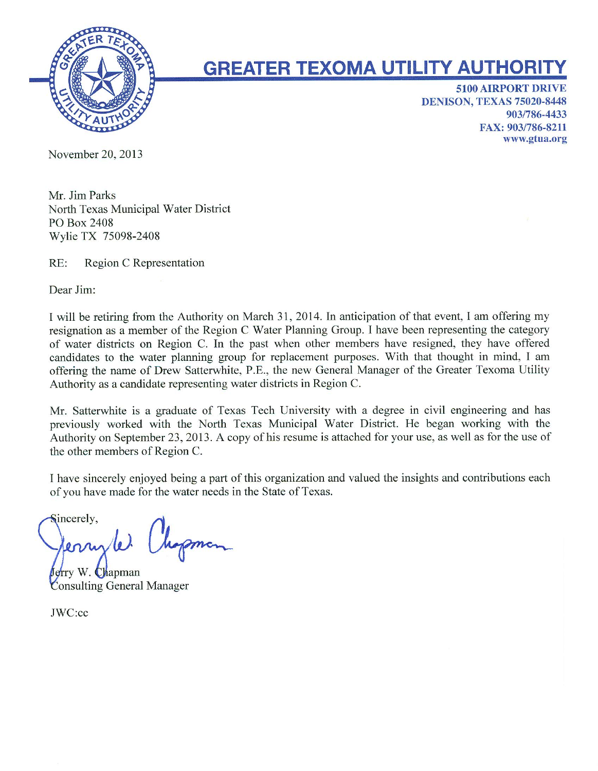

# **GREATER TEXOMA UTILITY AUTHORITY**

**5100 AIRPORT DRIVE DENISON, TEXAS 75020-8448** 903/786-4433 FAX: 903/786-8211 www.gtua.org

November 20, 2013

Mr. Jim Parks North Texas Municipal Water District PO Box 2408 Wylie TX 75098-2408

 $RE:$ Region C Representation

Dear Jim:

I will be retiring from the Authority on March 31, 2014. In anticipation of that event, I am offering my resignation as a member of the Region C Water Planning Group. I have been representing the category of water districts on Region C. In the past when other members have resigned, they have offered candidates to the water planning group for replacement purposes. With that thought in mind, I am offering the name of Drew Satterwhite, P.E., the new General Manager of the Greater Texoma Utility Authority as a candidate representing water districts in Region C.

Mr. Satterwhite is a graduate of Texas Tech University with a degree in civil engineering and has previously worked with the North Texas Municipal Water District. He began working with the Authority on September 23, 2013. A copy of his resume is attached for your use, as well as for the use of the other members of Region C.

I have sincerely enjoyed being a part of this organization and valued the insights and contributions each of you have made for the water needs in the State of Texas.

Sincerely, Chopman errisler.

ferry W. Chapman **Consulting General Manager** 

JWC:cc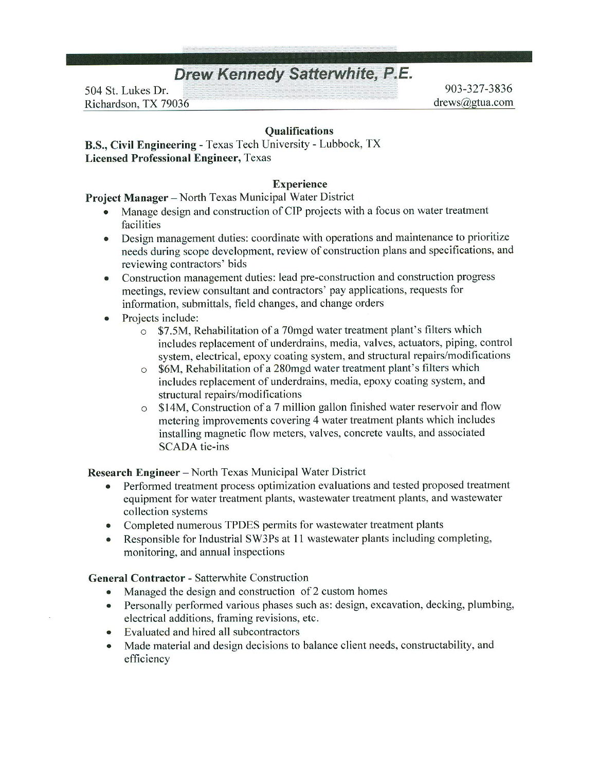# **Drew Kennedy Satterwhite, P.E.**

504 St. Lukes Dr. Richardson, TX 79036

903-327-3836 drews@gtua.com

# **Oualifications**

B.S., Civil Engineering - Texas Tech University - Lubbock, TX **Licensed Professional Engineer, Texas** 

#### **Experience**

Project Manager - North Texas Municipal Water District

- Manage design and construction of CIP projects with a focus on water treatment facilities
- Design management duties: coordinate with operations and maintenance to prioritize  $\bullet$ needs during scope development, review of construction plans and specifications, and reviewing contractors' bids
- Construction management duties: lead pre-construction and construction progress  $\bullet$ meetings, review consultant and contractors' pay applications, requests for information, submittals, field changes, and change orders
- Projects include:  $\bullet$ 
	- \$7.5M, Rehabilitation of a 70mgd water treatment plant's filters which  $\circ$ includes replacement of underdrains, media, valves, actuators, piping, control system, electrical, epoxy coating system, and structural repairs/modifications
	- \$6M, Rehabilitation of a 280mgd water treatment plant's filters which  $\circ$ includes replacement of underdrains, media, epoxy coating system, and structural repairs/modifications
	- \$14M, Construction of a 7 million gallon finished water reservoir and flow  $\circ$ metering improvements covering 4 water treatment plants which includes installing magnetic flow meters, valves, concrete vaults, and associated **SCADA** tie-ins

**Research Engineer** – North Texas Municipal Water District

- Performed treatment process optimization evaluations and tested proposed treatment equipment for water treatment plants, wastewater treatment plants, and wastewater collection systems
- Completed numerous TPDES permits for wastewater treatment plants  $\bullet$
- Responsible for Industrial SW3Ps at 11 was tewater plants including completing,  $\bullet$ monitoring, and annual inspections

**General Contractor - Satterwhite Construction** 

- Managed the design and construction of 2 custom homes  $\bullet$
- Personally performed various phases such as: design, excavation, decking, plumbing, electrical additions, framing revisions, etc.
- Evaluated and hired all subcontractors  $\bullet$
- Made material and design decisions to balance client needs, constructability, and efficiency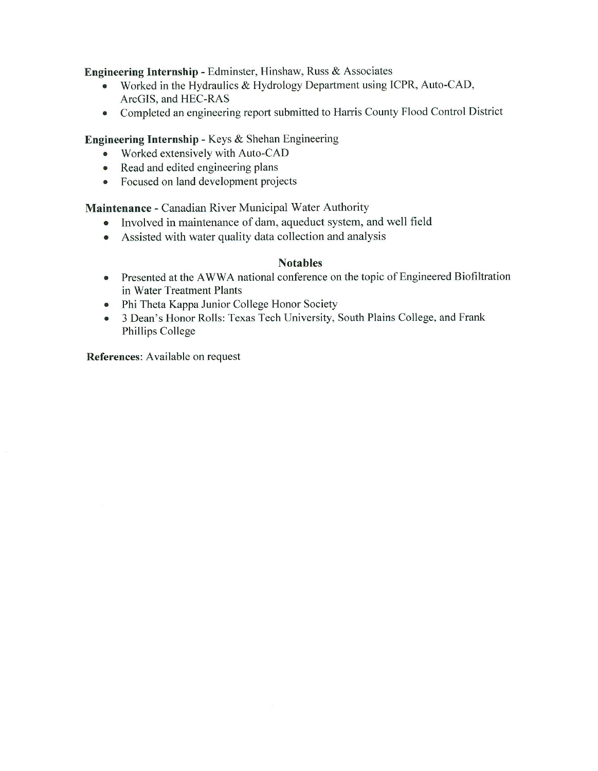Engineering Internship - Edminster, Hinshaw, Russ & Associates

- Worked in the Hydraulics & Hydrology Department using ICPR, Auto-CAD,  $\bullet$ ArcGIS, and HEC-RAS
- Completed an engineering report submitted to Harris County Flood Control District  $\bullet$

Engineering Internship - Keys & Shehan Engineering

- Worked extensively with Auto-CAD
- Read and edited engineering plans
- Focused on land development projects

**Maintenance - Canadian River Municipal Water Authority** 

- Involved in maintenance of dam, aqueduct system, and well field
- Assisted with water quality data collection and analysis

#### **Notables**

- Presented at the AWWA national conference on the topic of Engineered Biofiltration in Water Treatment Plants
- Phi Theta Kappa Junior College Honor Society
- 3 Dean's Honor Rolls: Texas Tech University, South Plains College, and Frank  $\bullet$ Phillips College

References: Available on request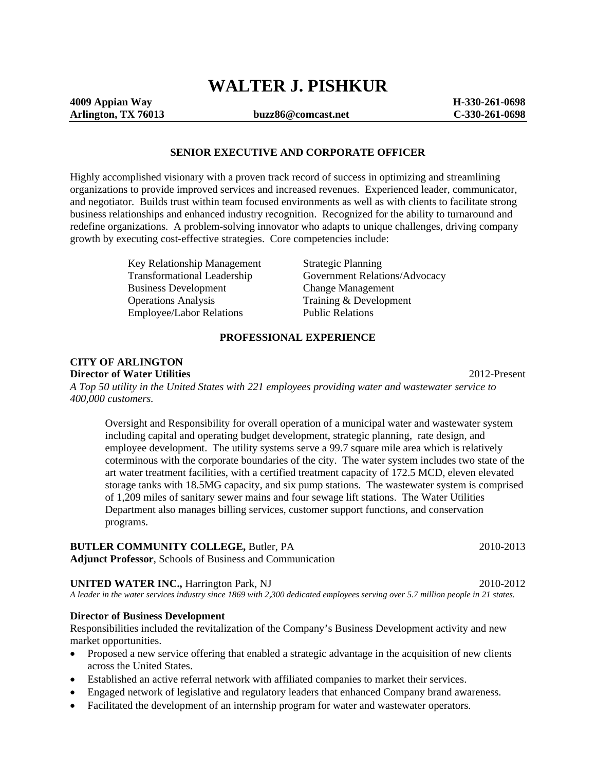# **WALTER J. PISHKUR**

#### **SENIOR EXECUTIVE AND CORPORATE OFFICER**

Highly accomplished visionary with a proven track record of success in optimizing and streamlining organizations to provide improved services and increased revenues. Experienced leader, communicator, and negotiator. Builds trust within team focused environments as well as with clients to facilitate strong business relationships and enhanced industry recognition. Recognized for the ability to turnaround and redefine organizations. A problem-solving innovator who adapts to unique challenges, driving company growth by executing cost-effective strategies. Core competencies include:

> Key Relationship Management Strategic Planning<br>Transformational Leadership Government Relati Business Development<br>
> Change Management<br>
> Change Management<br>
> Training & Developm Employee/Labor Relations

Government Relations/Advocacy Training & Development<br>Public Relations

#### **PROFESSIONAL EXPERIENCE**

#### **CITY OF ARLINGTON Director of Water Utilities** 2012-Present

*A Top 50 utility in the United States with 221 employees providing water and wastewater service to 400,000 customers.* 

Oversight and Responsibility for overall operation of a municipal water and wastewater system including capital and operating budget development, strategic planning, rate design, and employee development. The utility systems serve a 99.7 square mile area which is relatively coterminous with the corporate boundaries of the city. The water system includes two state of the art water treatment facilities, with a certified treatment capacity of 172.5 MCD, eleven elevated storage tanks with 18.5MG capacity, and six pump stations. The wastewater system is comprised of 1,209 miles of sanitary sewer mains and four sewage lift stations. The Water Utilities Department also manages billing services, customer support functions, and conservation programs.

#### **BUTLER COMMUNITY COLLEGE, Butler, PA** 2010-2013

**Adjunct Professor**, Schools of Business and Communication

#### **UNITED WATER INC.,** Harrington Park, NJ 2010-2012

*A leader in the water services industry since 1869 with 2,300 dedicated employees serving over 5.7 million people in 21 states.*

#### **Director of Business Development**

Responsibilities included the revitalization of the Company's Business Development activity and new market opportunities.

- Proposed a new service offering that enabled a strategic advantage in the acquisition of new clients across the United States.
- Established an active referral network with affiliated companies to market their services.
- Engaged network of legislative and regulatory leaders that enhanced Company brand awareness.
- Facilitated the development of an internship program for water and wastewater operators.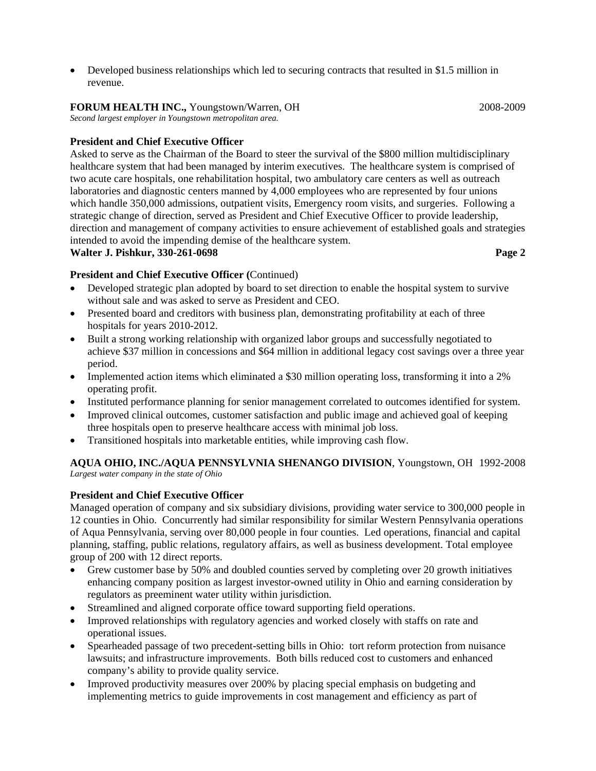• Developed business relationships which led to securing contracts that resulted in \$1.5 million in revenue.

# **FORUM HEALTH INC.,** Youngstown/Warren, OH 2008-2009

*Second largest employer in Youngstown metropolitan area.* 

# **President and Chief Executive Officer**

Asked to serve as the Chairman of the Board to steer the survival of the \$800 million multidisciplinary healthcare system that had been managed by interim executives. The healthcare system is comprised of two acute care hospitals, one rehabilitation hospital, two ambulatory care centers as well as outreach laboratories and diagnostic centers manned by 4,000 employees who are represented by four unions which handle 350,000 admissions, outpatient visits, Emergency room visits, and surgeries. Following a strategic change of direction, served as President and Chief Executive Officer to provide leadership, direction and management of company activities to ensure achievement of established goals and strategies intended to avoid the impending demise of the healthcare system. **Walter J. Pishkur, 330-261-0698 Page 2 Page 2 Page 2 Page 2 Page 2 Page 2** 

# **President and Chief Executive Officer (**Continued)

- Developed strategic plan adopted by board to set direction to enable the hospital system to survive without sale and was asked to serve as President and CEO.
- Presented board and creditors with business plan, demonstrating profitability at each of three hospitals for years 2010-2012.
- Built a strong working relationship with organized labor groups and successfully negotiated to achieve \$37 million in concessions and \$64 million in additional legacy cost savings over a three year period.
- Implemented action items which eliminated a \$30 million operating loss, transforming it into a 2% operating profit.
- Instituted performance planning for senior management correlated to outcomes identified for system.
- Improved clinical outcomes, customer satisfaction and public image and achieved goal of keeping three hospitals open to preserve healthcare access with minimal job loss.
- Transitioned hospitals into marketable entities, while improving cash flow.

**AQUA OHIO, INC./AQUA PENNSYLVNIA SHENANGO DIVISION**, Youngstown, OH 1992-2008 *Largest water company in the state of Ohio* 

# **President and Chief Executive Officer**

Managed operation of company and six subsidiary divisions, providing water service to 300,000 people in 12 counties in Ohio. Concurrently had similar responsibility for similar Western Pennsylvania operations of Aqua Pennsylvania, serving over 80,000 people in four counties. Led operations, financial and capital planning, staffing, public relations, regulatory affairs, as well as business development. Total employee group of 200 with 12 direct reports.

- Grew customer base by 50% and doubled counties served by completing over 20 growth initiatives enhancing company position as largest investor-owned utility in Ohio and earning consideration by regulators as preeminent water utility within jurisdiction.
- Streamlined and aligned corporate office toward supporting field operations.
- Improved relationships with regulatory agencies and worked closely with staffs on rate and operational issues.
- Spearheaded passage of two precedent-setting bills in Ohio: tort reform protection from nuisance lawsuits; and infrastructure improvements. Both bills reduced cost to customers and enhanced company's ability to provide quality service.
- Improved productivity measures over 200% by placing special emphasis on budgeting and implementing metrics to guide improvements in cost management and efficiency as part of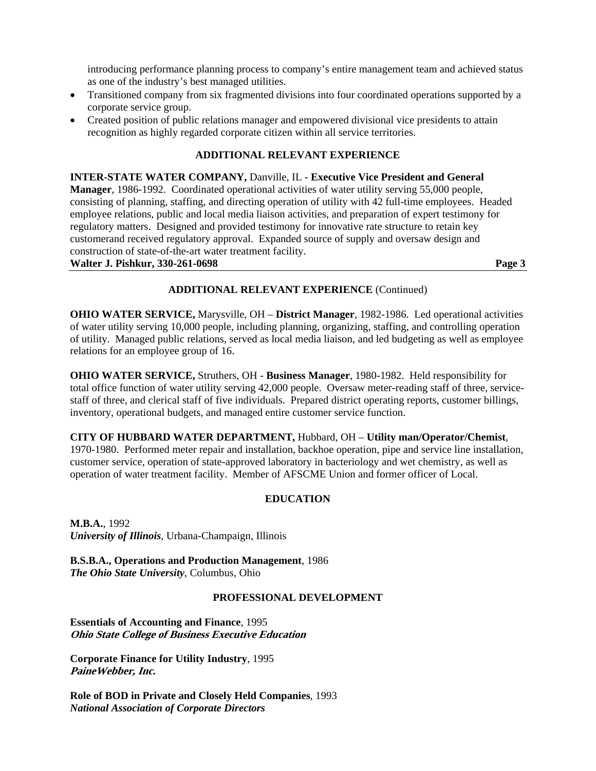introducing performance planning process to company's entire management team and achieved status as one of the industry's best managed utilities.

- Transitioned company from six fragmented divisions into four coordinated operations supported by a corporate service group.
- Created position of public relations manager and empowered divisional vice presidents to attain recognition as highly regarded corporate citizen within all service territories.

### **ADDITIONAL RELEVANT EXPERIENCE**

**INTER-STATE WATER COMPANY,** Danville, IL - **Executive Vice President and General Manager**, 1986-1992. Coordinated operational activities of water utility serving 55,000 people, consisting of planning, staffing, and directing operation of utility with 42 full-time employees. Headed employee relations, public and local media liaison activities, and preparation of expert testimony for regulatory matters. Designed and provided testimony for innovative rate structure to retain key customerand received regulatory approval. Expanded source of supply and oversaw design and construction of state-of-the-art water treatment facility.

#### **Walter J. Pishkur, 330-261-0698 Page 3**

### **ADDITIONAL RELEVANT EXPERIENCE** (Continued)

**OHIO WATER SERVICE,** Marysville, OH – **District Manager**, 1982-1986. Led operational activities of water utility serving 10,000 people, including planning, organizing, staffing, and controlling operation of utility. Managed public relations, served as local media liaison, and led budgeting as well as employee relations for an employee group of 16.

**OHIO WATER SERVICE,** Struthers, OH - **Business Manager**, 1980-1982. Held responsibility for total office function of water utility serving 42,000 people. Oversaw meter-reading staff of three, servicestaff of three, and clerical staff of five individuals. Prepared district operating reports, customer billings, inventory, operational budgets, and managed entire customer service function.

#### **CITY OF HUBBARD WATER DEPARTMENT,** Hubbard, OH – **Utility man/Operator/Chemist**,

1970-1980. Performed meter repair and installation, backhoe operation, pipe and service line installation, customer service, operation of state-approved laboratory in bacteriology and wet chemistry, as well as operation of water treatment facility. Member of AFSCME Union and former officer of Local.

#### **EDUCATION**

**M.B.A.**, 1992 *University of Illinois*, Urbana-Champaign, Illinois

**B.S.B.A., Operations and Production Management**, 1986 *The Ohio State University*, Columbus, Ohio

# **PROFESSIONAL DEVELOPMENT**

**Essentials of Accounting and Finance**, 1995 **Ohio State College of Business Executive Education** 

**Corporate Finance for Utility Industry**, 1995 **PaineWebber, Inc.** 

**Role of BOD in Private and Closely Held Companies**, 1993 *National Association of Corporate Directors*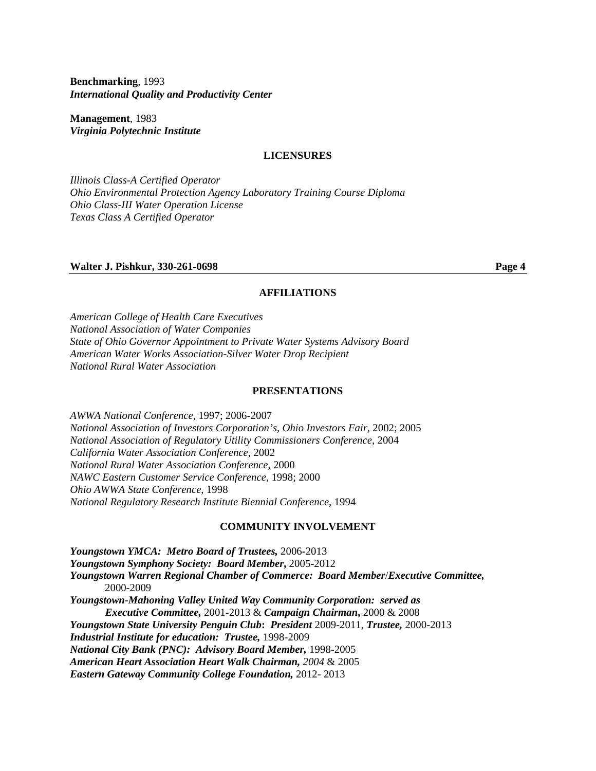**Benchmarking**, 1993 *International Quality and Productivity Center* 

**Management**, 1983 *Virginia Polytechnic Institute* 

#### **LICENSURES**

*Illinois Class-A Certified Operator Ohio Environmental Protection Agency Laboratory Training Course Diploma Ohio Class-III Water Operation License Texas Class A Certified Operator*

#### **Walter J. Pishkur, 330-261-0698** Page 4

#### **AFFILIATIONS**

*American College of Health Care Executives National Association of Water Companies State of Ohio Governor Appointment to Private Water Systems Advisory Board American Water Works Association-Silver Water Drop Recipient National Rural Water Association* 

#### **PRESENTATIONS**

*AWWA National Conference*, 1997; 2006-2007 *National Association of Investors Corporation's, Ohio Investors Fair*, 2002; 2005 *National Association of Regulatory Utility Commissioners Conference*, 2004 *California Water Association Conference*, 2002 *National Rural Water Association Conference*, 2000 *NAWC Eastern Customer Service Conference*, 1998; 2000 *Ohio AWWA State Conference*, 1998 *National Regulatory Research Institute Biennial Conference*, 1994

#### **COMMUNITY INVOLVEMENT**

*Youngstown YMCA: Metro Board of Trustees,* 2006-2013 *Youngstown Symphony Society: Board Member***,** 2005-2012 *Youngstown Warren Regional Chamber of Commerce: Board Member*/*Executive Committee,*  2000-2009 *Youngstown-Mahoning Valley United Way Community Corporation: served as Executive Committee,* 2001-2013 & *Campaign Chairman***,** 2000 & 2008 *Youngstown State University Penguin Club***:** *President* 2009-2011, *Trustee,* 2000-2013 *Industrial Institute for education: Trustee,* 1998-2009 *National City Bank (PNC): Advisory Board Member,* 1998-2005 *American Heart Association Heart Walk Chairman, 2004* & 2005 *Eastern Gateway Community College Foundation,* 2012- 2013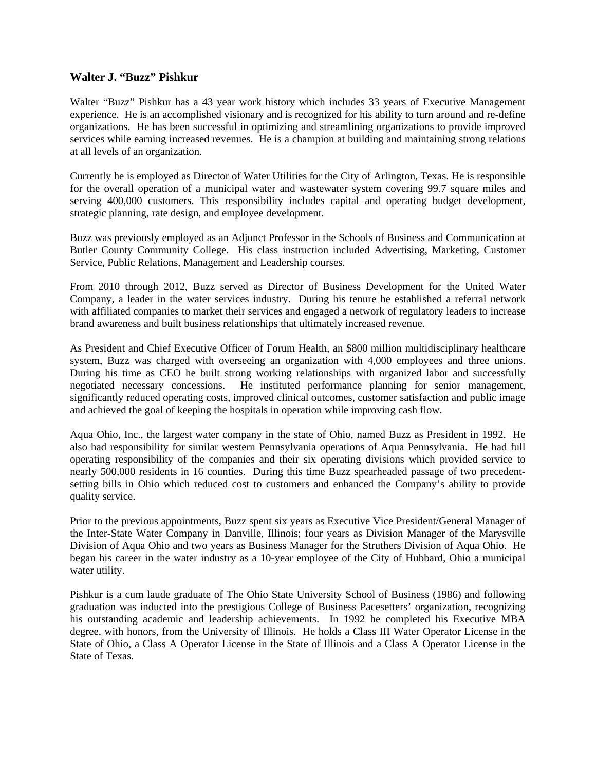#### **Walter J. "Buzz" Pishkur**

Walter "Buzz" Pishkur has a 43 year work history which includes 33 years of Executive Management experience. He is an accomplished visionary and is recognized for his ability to turn around and re-define organizations. He has been successful in optimizing and streamlining organizations to provide improved services while earning increased revenues. He is a champion at building and maintaining strong relations at all levels of an organization.

Currently he is employed as Director of Water Utilities for the City of Arlington, Texas. He is responsible for the overall operation of a municipal water and wastewater system covering 99.7 square miles and serving 400,000 customers. This responsibility includes capital and operating budget development, strategic planning, rate design, and employee development.

Buzz was previously employed as an Adjunct Professor in the Schools of Business and Communication at Butler County Community College. His class instruction included Advertising, Marketing, Customer Service, Public Relations, Management and Leadership courses.

From 2010 through 2012, Buzz served as Director of Business Development for the United Water Company, a leader in the water services industry. During his tenure he established a referral network with affiliated companies to market their services and engaged a network of regulatory leaders to increase brand awareness and built business relationships that ultimately increased revenue.

As President and Chief Executive Officer of Forum Health, an \$800 million multidisciplinary healthcare system, Buzz was charged with overseeing an organization with 4,000 employees and three unions. During his time as CEO he built strong working relationships with organized labor and successfully negotiated necessary concessions. He instituted performance planning for senior management, He instituted performance planning for senior management, significantly reduced operating costs, improved clinical outcomes, customer satisfaction and public image and achieved the goal of keeping the hospitals in operation while improving cash flow.

Aqua Ohio, Inc., the largest water company in the state of Ohio, named Buzz as President in 1992. He also had responsibility for similar western Pennsylvania operations of Aqua Pennsylvania. He had full operating responsibility of the companies and their six operating divisions which provided service to nearly 500,000 residents in 16 counties. During this time Buzz spearheaded passage of two precedentsetting bills in Ohio which reduced cost to customers and enhanced the Company's ability to provide quality service.

Prior to the previous appointments, Buzz spent six years as Executive Vice President/General Manager of the Inter-State Water Company in Danville, Illinois; four years as Division Manager of the Marysville Division of Aqua Ohio and two years as Business Manager for the Struthers Division of Aqua Ohio. He began his career in the water industry as a 10-year employee of the City of Hubbard, Ohio a municipal water utility.

Pishkur is a cum laude graduate of The Ohio State University School of Business (1986) and following graduation was inducted into the prestigious College of Business Pacesetters' organization, recognizing his outstanding academic and leadership achievements. In 1992 he completed his Executive MBA degree, with honors, from the University of Illinois. He holds a Class III Water Operator License in the State of Ohio, a Class A Operator License in the State of Illinois and a Class A Operator License in the State of Texas.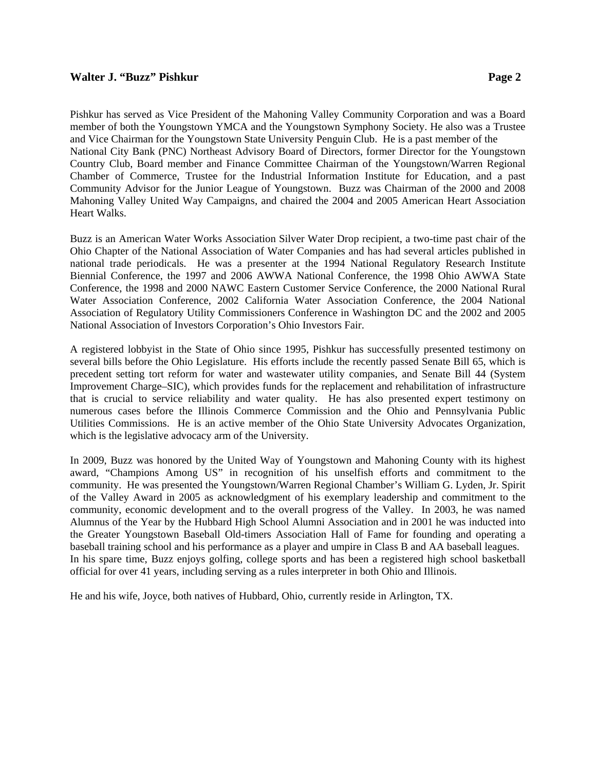#### **Walter J. "Buzz" Pishkur Page 2**

Pishkur has served as Vice President of the Mahoning Valley Community Corporation and was a Board member of both the Youngstown YMCA and the Youngstown Symphony Society. He also was a Trustee and Vice Chairman for the Youngstown State University Penguin Club. He is a past member of the National City Bank (PNC) Northeast Advisory Board of Directors, former Director for the Youngstown Country Club, Board member and Finance Committee Chairman of the Youngstown/Warren Regional Chamber of Commerce, Trustee for the Industrial Information Institute for Education, and a past Community Advisor for the Junior League of Youngstown. Buzz was Chairman of the 2000 and 2008 Mahoning Valley United Way Campaigns, and chaired the 2004 and 2005 American Heart Association Heart Walks.

Buzz is an American Water Works Association Silver Water Drop recipient, a two-time past chair of the Ohio Chapter of the National Association of Water Companies and has had several articles published in national trade periodicals. He was a presenter at the 1994 National Regulatory Research Institute Biennial Conference, the 1997 and 2006 AWWA National Conference, the 1998 Ohio AWWA State Conference, the 1998 and 2000 NAWC Eastern Customer Service Conference, the 2000 National Rural Water Association Conference, 2002 California Water Association Conference, the 2004 National Association of Regulatory Utility Commissioners Conference in Washington DC and the 2002 and 2005 National Association of Investors Corporation's Ohio Investors Fair.

A registered lobbyist in the State of Ohio since 1995, Pishkur has successfully presented testimony on several bills before the Ohio Legislature. His efforts include the recently passed Senate Bill 65, which is precedent setting tort reform for water and wastewater utility companies, and Senate Bill 44 (System Improvement Charge–SIC), which provides funds for the replacement and rehabilitation of infrastructure that is crucial to service reliability and water quality. He has also presented expert testimony on numerous cases before the Illinois Commerce Commission and the Ohio and Pennsylvania Public Utilities Commissions. He is an active member of the Ohio State University Advocates Organization, which is the legislative advocacy arm of the University.

In 2009, Buzz was honored by the United Way of Youngstown and Mahoning County with its highest award, "Champions Among US" in recognition of his unselfish efforts and commitment to the community. He was presented the Youngstown/Warren Regional Chamber's William G. Lyden, Jr. Spirit of the Valley Award in 2005 as acknowledgment of his exemplary leadership and commitment to the community, economic development and to the overall progress of the Valley. In 2003, he was named Alumnus of the Year by the Hubbard High School Alumni Association and in 2001 he was inducted into the Greater Youngstown Baseball Old-timers Association Hall of Fame for founding and operating a baseball training school and his performance as a player and umpire in Class B and AA baseball leagues. In his spare time, Buzz enjoys golfing, college sports and has been a registered high school basketball official for over 41 years, including serving as a rules interpreter in both Ohio and Illinois.

He and his wife, Joyce, both natives of Hubbard, Ohio, currently reside in Arlington, TX.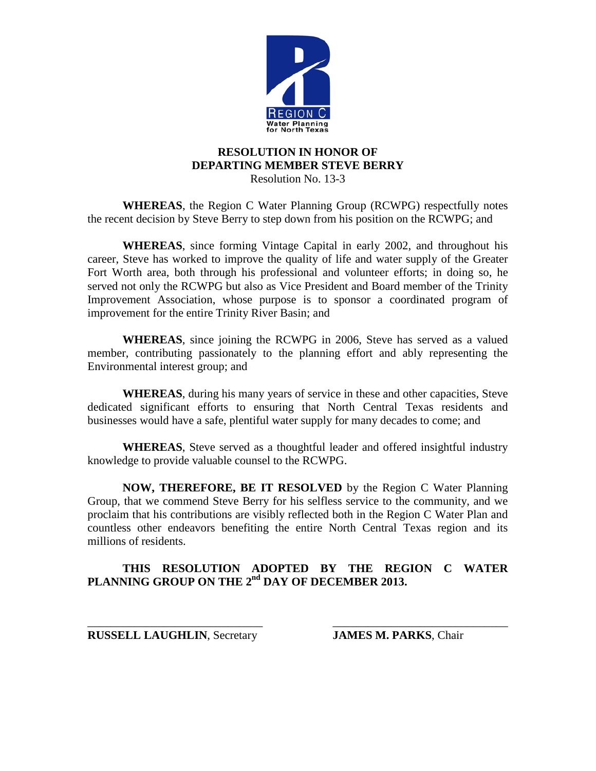

# **RESOLUTION IN HONOR OF DEPARTING MEMBER STEVE BERRY**

Resolution No. 13-3

**WHEREAS**, the Region C Water Planning Group (RCWPG) respectfully notes the recent decision by Steve Berry to step down from his position on the RCWPG; and

**WHEREAS**, since forming Vintage Capital in early 2002, and throughout his career, Steve has worked to improve the quality of life and water supply of the Greater Fort Worth area, both through his professional and volunteer efforts; in doing so, he served not only the RCWPG but also as Vice President and Board member of the Trinity Improvement Association, whose purpose is to sponsor a coordinated program of improvement for the entire Trinity River Basin; and

**WHEREAS**, since joining the RCWPG in 2006, Steve has served as a valued member, contributing passionately to the planning effort and ably representing the Environmental interest group; and

**WHEREAS**, during his many years of service in these and other capacities, Steve dedicated significant efforts to ensuring that North Central Texas residents and businesses would have a safe, plentiful water supply for many decades to come; and

**WHEREAS**, Steve served as a thoughtful leader and offered insightful industry knowledge to provide valuable counsel to the RCWPG.

**NOW, THEREFORE, BE IT RESOLVED** by the Region C Water Planning Group, that we commend Steve Berry for his selfless service to the community, and we proclaim that his contributions are visibly reflected both in the Region C Water Plan and countless other endeavors benefiting the entire North Central Texas region and its millions of residents.

# **THIS RESOLUTION ADOPTED BY THE REGION C WATER**  PLANNING GROUP ON THE 2<sup>nd</sup> DAY OF DECEMBER 2013.

\_\_\_\_\_\_\_\_\_\_\_\_\_\_\_\_\_\_\_\_\_\_\_\_\_\_\_\_\_\_ \_\_\_\_\_\_\_\_\_\_\_\_\_\_\_\_\_\_\_\_\_\_\_\_\_\_\_\_\_\_ **RUSSELL LAUGHLIN**, Secretary **JAMES M. PARKS**, Chair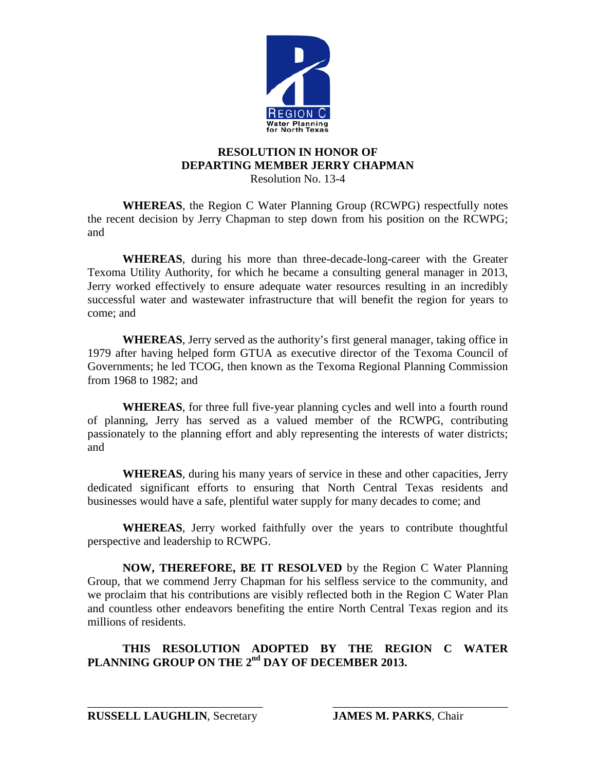

# **RESOLUTION IN HONOR OF DEPARTING MEMBER JERRY CHAPMAN**

Resolution No. 13-4

**WHEREAS**, the Region C Water Planning Group (RCWPG) respectfully notes the recent decision by Jerry Chapman to step down from his position on the RCWPG; and

**WHEREAS**, during his more than three-decade-long-career with the Greater Texoma Utility Authority, for which he became a consulting general manager in 2013, Jerry worked effectively to ensure adequate water resources resulting in an incredibly successful water and wastewater infrastructure that will benefit the region for years to come; and

**WHEREAS**, Jerry served as the authority's first general manager, taking office in 1979 after having helped form GTUA as executive director of the Texoma Council of Governments; he led TCOG, then known as the Texoma Regional Planning Commission from 1968 to 1982; and

**WHEREAS**, for three full five-year planning cycles and well into a fourth round of planning, Jerry has served as a valued member of the RCWPG, contributing passionately to the planning effort and ably representing the interests of water districts; and

**WHEREAS**, during his many years of service in these and other capacities, Jerry dedicated significant efforts to ensuring that North Central Texas residents and businesses would have a safe, plentiful water supply for many decades to come; and

**WHEREAS**, Jerry worked faithfully over the years to contribute thoughtful perspective and leadership to RCWPG.

**NOW, THEREFORE, BE IT RESOLVED** by the Region C Water Planning Group, that we commend Jerry Chapman for his selfless service to the community, and we proclaim that his contributions are visibly reflected both in the Region C Water Plan and countless other endeavors benefiting the entire North Central Texas region and its millions of residents.

# **THIS RESOLUTION ADOPTED BY THE REGION C WATER**  PLANNING GROUP ON THE 2<sup>nd</sup> DAY OF DECEMBER 2013.